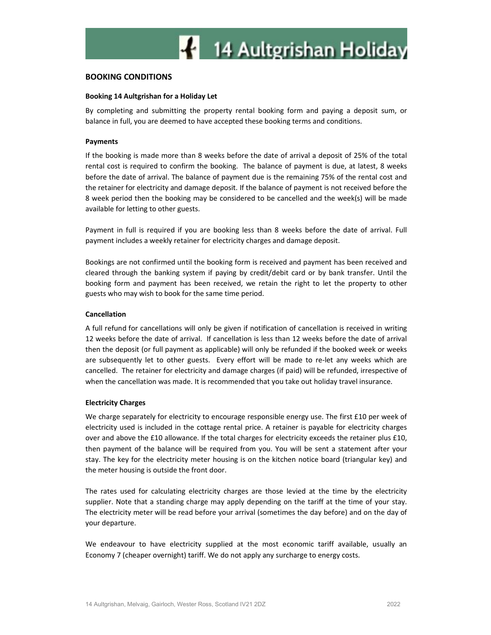## BOOKING CONDITIONS

## Booking 14 Aultgrishan for a Holiday Let

By completing and submitting the property rental booking form and paying a deposit sum, or balance in full, you are deemed to have accepted these booking terms and conditions.

#### Payments

If the booking is made more than 8 weeks before the date of arrival a deposit of 25% of the total rental cost is required to confirm the booking. The balance of payment is due, at latest, 8 weeks before the date of arrival. The balance of payment due is the remaining 75% of the rental cost and the retainer for electricity and damage deposit. If the balance of payment is not received before the 8 week period then the booking may be considered to be cancelled and the week(s) will be made available for letting to other guests.

Payment in full is required if you are booking less than 8 weeks before the date of arrival. Full payment includes a weekly retainer for electricity charges and damage deposit.

Bookings are not confirmed until the booking form is received and payment has been received and cleared through the banking system if paying by credit/debit card or by bank transfer. Until the booking form and payment has been received, we retain the right to let the property to other guests who may wish to book for the same time period.

## Cancellation

A full refund for cancellations will only be given if notification of cancellation is received in writing 12 weeks before the date of arrival. If cancellation is less than 12 weeks before the date of arrival then the deposit (or full payment as applicable) will only be refunded if the booked week or weeks are subsequently let to other guests. Every effort will be made to re-let any weeks which are cancelled. The retainer for electricity and damage charges (if paid) will be refunded, irrespective of when the cancellation was made. It is recommended that you take out holiday travel insurance.

#### Electricity Charges

We charge separately for electricity to encourage responsible energy use. The first £10 per week of electricity used is included in the cottage rental price. A retainer is payable for electricity charges over and above the £10 allowance. If the total charges for electricity exceeds the retainer plus £10, then payment of the balance will be required from you. You will be sent a statement after your stay. The key for the electricity meter housing is on the kitchen notice board (triangular key) and the meter housing is outside the front door.

The rates used for calculating electricity charges are those levied at the time by the electricity supplier. Note that a standing charge may apply depending on the tariff at the time of your stay. The electricity meter will be read before your arrival (sometimes the day before) and on the day of your departure.

We endeavour to have electricity supplied at the most economic tariff available, usually an Economy 7 (cheaper overnight) tariff. We do not apply any surcharge to energy costs.